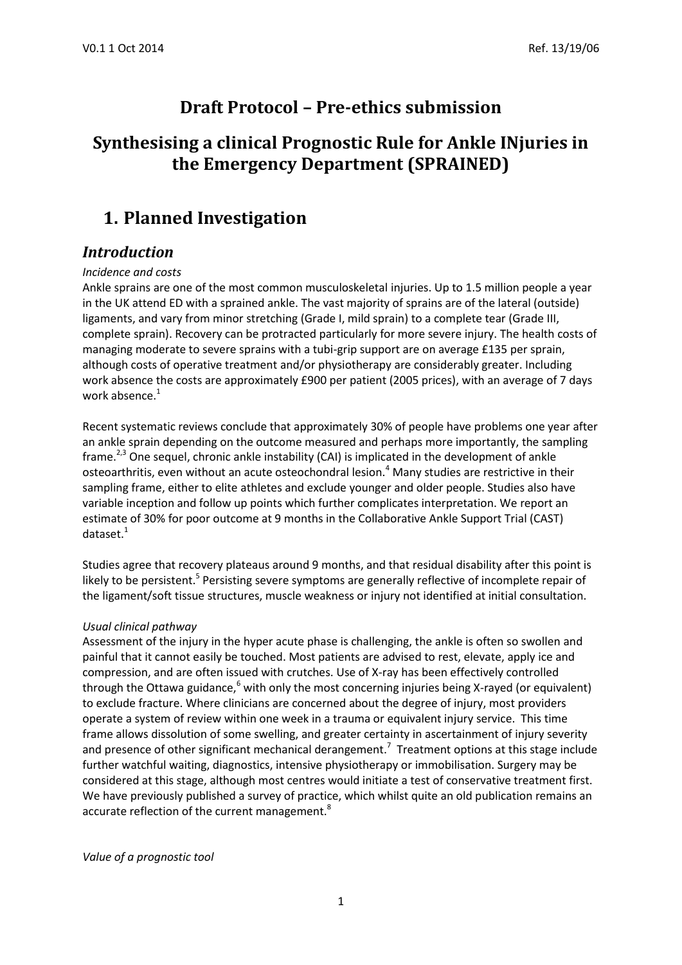# **Draft Protocol – Pre-ethics submission**

# **Synthesising a clinical Prognostic Rule for Ankle INjuries in the Emergency Department (SPRAINED)**

# **1. Planned Investigation**

### *Introduction*

### *Incidence and costs*

Ankle sprains are one of the most common musculoskeletal injuries. Up to 1.5 million people a year in the UK attend ED with a sprained ankle. The vast majority of sprains are of the lateral (outside) ligaments, and vary from minor stretching (Grade I, mild sprain) to a complete tear (Grade III, complete sprain). Recovery can be protracted particularly for more severe injury. The health costs of managing moderate to severe sprains with a tubi-grip support are on average £135 per sprain, although costs of operative treatment and/or physiotherapy are considerably greater. Including work absence the costs are approximately £900 per patient (2005 prices), with an average of 7 days work absence.<sup>1</sup>

Recent systematic reviews conclude that approximately 30% of people have problems one year after an ankle sprain depending on the outcome measured and perhaps more importantly, the sampling frame.<sup>2,3</sup> One sequel, chronic ankle instability (CAI) is implicated in the development of ankle osteoarthritis, even without an acute osteochondral lesion.<sup>4</sup> Many studies are restrictive in their sampling frame, either to elite athletes and exclude younger and older people. Studies also have variable inception and follow up points which further complicates interpretation. We report an estimate of 30% for poor outcome at 9 months in the Collaborative Ankle Support Trial (CAST) dataset.<sup>1</sup>

Studies agree that recovery plateaus around 9 months, and that residual disability after this point is likely to be persistent.<sup>5</sup> Persisting severe symptoms are generally reflective of incomplete repair of the ligament/soft tissue structures, muscle weakness or injury not identified at initial consultation.

### *Usual clinical pathway*

Assessment of the injury in the hyper acute phase is challenging, the ankle is often so swollen and painful that it cannot easily be touched. Most patients are advised to rest, elevate, apply ice and compression, and are often issued with crutches. Use of X-ray has been effectively controlled through the Ottawa guidance, $6$  with only the most concerning injuries being X-rayed (or equivalent) to exclude fracture. Where clinicians are concerned about the degree of injury, most providers operate a system of review within one week in a trauma or equivalent injury service. This time frame allows dissolution of some swelling, and greater certainty in ascertainment of injury severity and presence of other significant mechanical derangement.<sup>7</sup> Treatment options at this stage include further watchful waiting, diagnostics, intensive physiotherapy or immobilisation. Surgery may be considered at this stage, although most centres would initiate a test of conservative treatment first. We have previously published a survey of practice, which whilst quite an old publication remains an accurate reflection of the current management.<sup>8</sup>

*Value of a prognostic tool*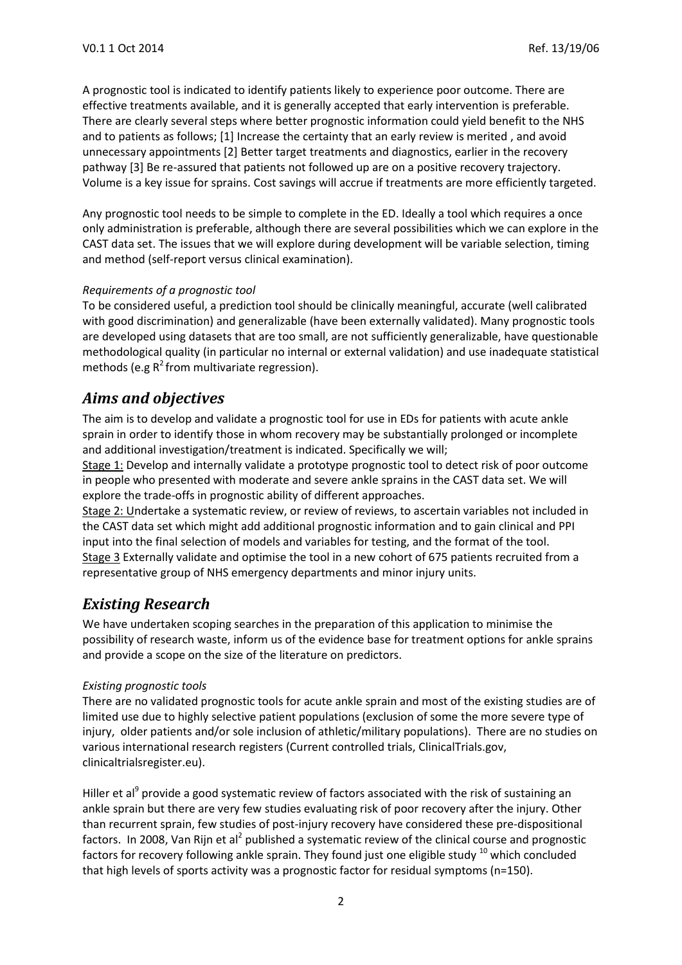A prognostic tool is indicated to identify patients likely to experience poor outcome. There are effective treatments available, and it is generally accepted that early intervention is preferable. There are clearly several steps where better prognostic information could yield benefit to the NHS and to patients as follows; [1] Increase the certainty that an early review is merited , and avoid unnecessary appointments [2] Better target treatments and diagnostics, earlier in the recovery pathway [3] Be re-assured that patients not followed up are on a positive recovery trajectory. Volume is a key issue for sprains. Cost savings will accrue if treatments are more efficiently targeted.

Any prognostic tool needs to be simple to complete in the ED. Ideally a tool which requires a once only administration is preferable, although there are several possibilities which we can explore in the CAST data set. The issues that we will explore during development will be variable selection, timing and method (self-report versus clinical examination).

#### *Requirements of a prognostic tool*

To be considered useful, a prediction tool should be clinically meaningful, accurate (well calibrated with good discrimination) and generalizable (have been externally validated). Many prognostic tools are developed using datasets that are too small, are not sufficiently generalizable, have questionable methodological quality (in particular no internal or external validation) and use inadequate statistical methods (e.g  $R^2$  from multivariate regression).

### *Aims and objectives*

The aim is to develop and validate a prognostic tool for use in EDs for patients with acute ankle sprain in order to identify those in whom recovery may be substantially prolonged or incomplete and additional investigation/treatment is indicated. Specifically we will;

Stage 1: Develop and internally validate a prototype prognostic tool to detect risk of poor outcome in people who presented with moderate and severe ankle sprains in the CAST data set. We will explore the trade-offs in prognostic ability of different approaches.

Stage 2: Undertake a systematic review, or review of reviews, to ascertain variables not included in the CAST data set which might add additional prognostic information and to gain clinical and PPI input into the final selection of models and variables for testing, and the format of the tool. Stage 3 Externally validate and optimise the tool in a new cohort of 675 patients recruited from a representative group of NHS emergency departments and minor injury units.

### *Existing Research*

We have undertaken scoping searches in the preparation of this application to minimise the possibility of research waste, inform us of the evidence base for treatment options for ankle sprains and provide a scope on the size of the literature on predictors.

#### *Existing prognostic tools*

There are no validated prognostic tools for acute ankle sprain and most of the existing studies are of limited use due to highly selective patient populations (exclusion of some the more severe type of injury, older patients and/or sole inclusion of athletic/military populations). There are no studies on various international research registers (Current controlled trials, ClinicalTrials.gov, clinicaltrialsregister.eu).

Hiller et al<sup>9</sup> provide a good systematic review of factors associated with the risk of sustaining an ankle sprain but there are very few studies evaluating risk of poor recovery after the injury. Other than recurrent sprain, few studies of post-injury recovery have considered these pre-dispositional factors. In 2008, Van Rijn et al<sup>2</sup> published a systematic review of the clinical course and prognostic factors for recovery following ankle sprain. They found just one eligible study  $10$  which concluded that high levels of sports activity was a prognostic factor for residual symptoms (n=150).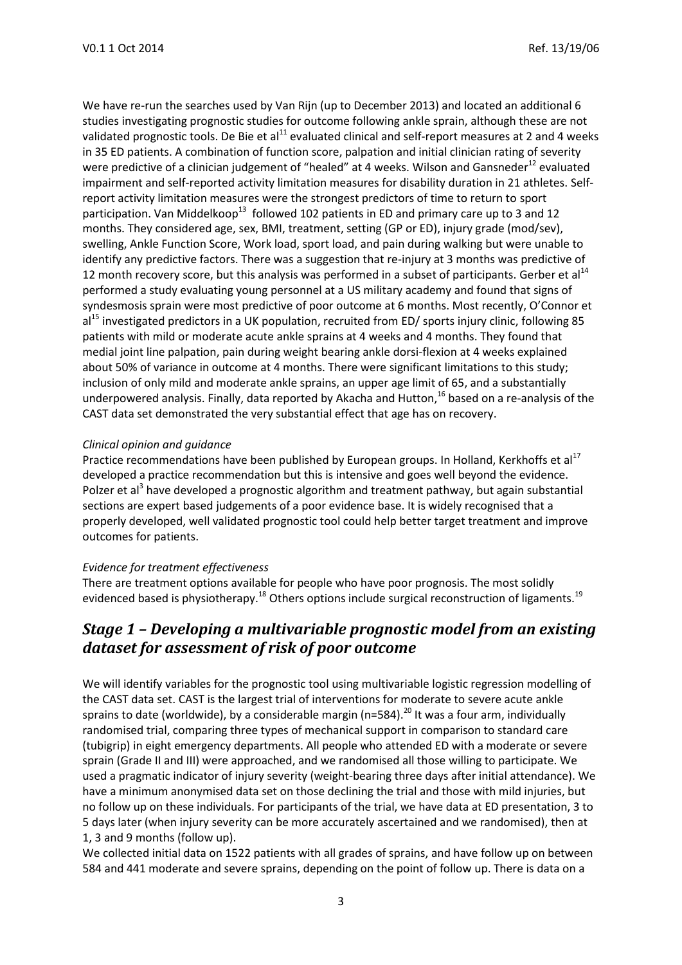We have re-run the searches used by Van Rijn (up to December 2013) and located an additional 6 studies investigating prognostic studies for outcome following ankle sprain, although these are not validated prognostic tools. De Bie et al<sup>11</sup> evaluated clinical and self-report measures at 2 and 4 weeks in 35 ED patients. A combination of function score, palpation and initial clinician rating of severity were predictive of a clinician judgement of "healed" at 4 weeks. Wilson and Gansneder<sup>12</sup> evaluated impairment and self-reported activity limitation measures for disability duration in 21 athletes. Selfreport activity limitation measures were the strongest predictors of time to return to sport participation. Van Middelkoop<sup>13</sup> followed 102 patients in ED and primary care up to 3 and 12 months. They considered age, sex, BMI, treatment, setting (GP or ED), injury grade (mod/sev), swelling, Ankle Function Score, Work load, sport load, and pain during walking but were unable to identify any predictive factors. There was a suggestion that re-injury at 3 months was predictive of 12 month recovery score, but this analysis was performed in a subset of participants. Gerber et al<sup>14</sup> performed a study evaluating young personnel at a US military academy and found that signs of syndesmosis sprain were most predictive of poor outcome at 6 months. Most recently, O'Connor et al<sup>15</sup> investigated predictors in a UK population, recruited from ED/ sports injury clinic, following 85 patients with mild or moderate acute ankle sprains at 4 weeks and 4 months. They found that medial joint line palpation, pain during weight bearing ankle dorsi-flexion at 4 weeks explained about 50% of variance in outcome at 4 months. There were significant limitations to this study; inclusion of only mild and moderate ankle sprains, an upper age limit of 65, and a substantially underpowered analysis. Finally, data reported by Akacha and Hutton, <sup>16</sup> based on a re-analysis of the CAST data set demonstrated the very substantial effect that age has on recovery.

### *Clinical opinion and guidance*

Practice recommendations have been published by European groups. In Holland, Kerkhoffs et al<sup>17</sup> developed a practice recommendation but this is intensive and goes well beyond the evidence. Polzer et al<sup>3</sup> have developed a prognostic algorithm and treatment pathway, but again substantial sections are expert based judgements of a poor evidence base. It is widely recognised that a properly developed, well validated prognostic tool could help better target treatment and improve outcomes for patients.

#### *Evidence for treatment effectiveness*

There are treatment options available for people who have poor prognosis. The most solidly evidenced based is physiotherapy.<sup>18</sup> Others options include surgical reconstruction of ligaments.<sup>19</sup>

## *Stage 1 – Developing a multivariable prognostic model from an existing dataset for assessment of risk of poor outcome*

We will identify variables for the prognostic tool using multivariable logistic regression modelling of the CAST data set. CAST is the largest trial of interventions for moderate to severe acute ankle sprains to date (worldwide), by a considerable margin (n=584).<sup>20</sup> It was a four arm, individually randomised trial, comparing three types of mechanical support in comparison to standard care (tubigrip) in eight emergency departments. All people who attended ED with a moderate or severe sprain (Grade II and III) were approached, and we randomised all those willing to participate. We used a pragmatic indicator of injury severity (weight-bearing three days after initial attendance). We have a minimum anonymised data set on those declining the trial and those with mild injuries, but no follow up on these individuals. For participants of the trial, we have data at ED presentation, 3 to 5 days later (when injury severity can be more accurately ascertained and we randomised), then at 1, 3 and 9 months (follow up).

We collected initial data on 1522 patients with all grades of sprains, and have follow up on between 584 and 441 moderate and severe sprains, depending on the point of follow up. There is data on a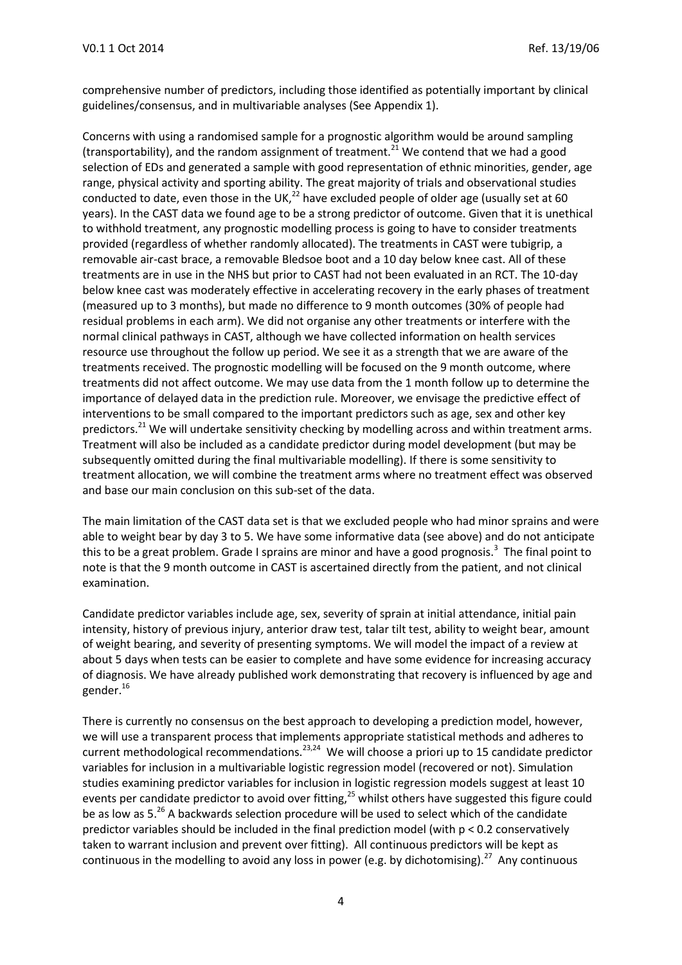comprehensive number of predictors, including those identified as potentially important by clinical guidelines/consensus, and in multivariable analyses (See Appendix 1).

Concerns with using a randomised sample for a prognostic algorithm would be around sampling (transportability), and the random assignment of treatment.<sup>21</sup> We contend that we had a good selection of EDs and generated a sample with good representation of ethnic minorities, gender, age range, physical activity and sporting ability. The great majority of trials and observational studies conducted to date, even those in the UK, $^{22}$  have excluded people of older age (usually set at 60 years). In the CAST data we found age to be a strong predictor of outcome. Given that it is unethical to withhold treatment, any prognostic modelling process is going to have to consider treatments provided (regardless of whether randomly allocated). The treatments in CAST were tubigrip, a removable air-cast brace, a removable Bledsoe boot and a 10 day below knee cast. All of these treatments are in use in the NHS but prior to CAST had not been evaluated in an RCT. The 10-day below knee cast was moderately effective in accelerating recovery in the early phases of treatment (measured up to 3 months), but made no difference to 9 month outcomes (30% of people had residual problems in each arm). We did not organise any other treatments or interfere with the normal clinical pathways in CAST, although we have collected information on health services resource use throughout the follow up period. We see it as a strength that we are aware of the treatments received. The prognostic modelling will be focused on the 9 month outcome, where treatments did not affect outcome. We may use data from the 1 month follow up to determine the importance of delayed data in the prediction rule. Moreover, we envisage the predictive effect of interventions to be small compared to the important predictors such as age, sex and other key predictors.<sup>21</sup> We will undertake sensitivity checking by modelling across and within treatment arms. Treatment will also be included as a candidate predictor during model development (but may be subsequently omitted during the final multivariable modelling). If there is some sensitivity to treatment allocation, we will combine the treatment arms where no treatment effect was observed and base our main conclusion on this sub-set of the data.

The main limitation of the CAST data set is that we excluded people who had minor sprains and were able to weight bear by day 3 to 5. We have some informative data (see above) and do not anticipate this to be a great problem. Grade I sprains are minor and have a good prognosis.<sup>3</sup> The final point to note is that the 9 month outcome in CAST is ascertained directly from the patient, and not clinical examination.

Candidate predictor variables include age, sex, severity of sprain at initial attendance, initial pain intensity, history of previous injury, anterior draw test, talar tilt test, ability to weight bear, amount of weight bearing, and severity of presenting symptoms. We will model the impact of a review at about 5 days when tests can be easier to complete and have some evidence for increasing accuracy of diagnosis. We have already published work demonstrating that recovery is influenced by age and gender.<sup>16</sup>

There is currently no consensus on the best approach to developing a prediction model, however, we will use a transparent process that implements appropriate statistical methods and adheres to current methodological recommendations.<sup>23,24</sup> We will choose a priori up to 15 candidate predictor variables for inclusion in a multivariable logistic regression model (recovered or not). Simulation studies examining predictor variables for inclusion in logistic regression models suggest at least 10 events per candidate predictor to avoid over fitting,<sup>25</sup> whilst others have suggested this figure could be as low as 5.<sup>26</sup> A backwards selection procedure will be used to select which of the candidate predictor variables should be included in the final prediction model (with p < 0.2 conservatively taken to warrant inclusion and prevent over fitting). All continuous predictors will be kept as continuous in the modelling to avoid any loss in power (e.g. by dichotomising).<sup>27</sup> Any continuous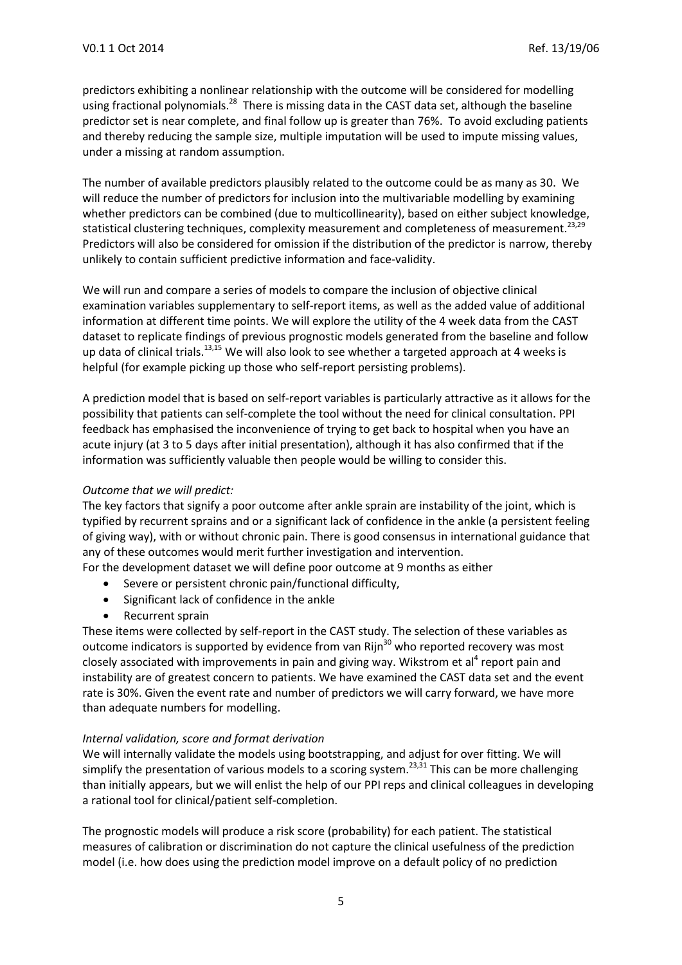predictors exhibiting a nonlinear relationship with the outcome will be considered for modelling using fractional polynomials.<sup>28</sup> There is missing data in the CAST data set, although the baseline predictor set is near complete, and final follow up is greater than 76%. To avoid excluding patients and thereby reducing the sample size, multiple imputation will be used to impute missing values, under a missing at random assumption.

The number of available predictors plausibly related to the outcome could be as many as 30. We will reduce the number of predictors for inclusion into the multivariable modelling by examining whether predictors can be combined (due to multicollinearity), based on either subject knowledge, statistical clustering techniques, complexity measurement and completeness of measurement.<sup>23,29</sup> Predictors will also be considered for omission if the distribution of the predictor is narrow, thereby unlikely to contain sufficient predictive information and face-validity.

We will run and compare a series of models to compare the inclusion of objective clinical examination variables supplementary to self-report items, as well as the added value of additional information at different time points. We will explore the utility of the 4 week data from the CAST dataset to replicate findings of previous prognostic models generated from the baseline and follow up data of clinical trials.<sup>13,15</sup> We will also look to see whether a targeted approach at 4 weeks is helpful (for example picking up those who self-report persisting problems).

A prediction model that is based on self-report variables is particularly attractive as it allows for the possibility that patients can self-complete the tool without the need for clinical consultation. PPI feedback has emphasised the inconvenience of trying to get back to hospital when you have an acute injury (at 3 to 5 days after initial presentation), although it has also confirmed that if the information was sufficiently valuable then people would be willing to consider this.

#### *Outcome that we will predict:*

The key factors that signify a poor outcome after ankle sprain are instability of the joint, which is typified by recurrent sprains and or a significant lack of confidence in the ankle (a persistent feeling of giving way), with or without chronic pain. There is good consensus in international guidance that any of these outcomes would merit further investigation and intervention.

For the development dataset we will define poor outcome at 9 months as either

- Severe or persistent chronic pain/functional difficulty,
- Significant lack of confidence in the ankle
- Recurrent sprain

These items were collected by self-report in the CAST study. The selection of these variables as outcome indicators is supported by evidence from van Rijn $30$  who reported recovery was most closely associated with improvements in pain and giving way. Wikstrom et al<sup>4</sup> report pain and instability are of greatest concern to patients. We have examined the CAST data set and the event rate is 30%. Given the event rate and number of predictors we will carry forward, we have more than adequate numbers for modelling.

#### *Internal validation, score and format derivation*

We will internally validate the models using bootstrapping, and adjust for over fitting. We will simplify the presentation of various models to a scoring system.<sup>23,31</sup> This can be more challenging than initially appears, but we will enlist the help of our PPI reps and clinical colleagues in developing a rational tool for clinical/patient self-completion.

The prognostic models will produce a risk score (probability) for each patient. The statistical measures of calibration or discrimination do not capture the clinical usefulness of the prediction model (i.e. how does using the prediction model improve on a default policy of no prediction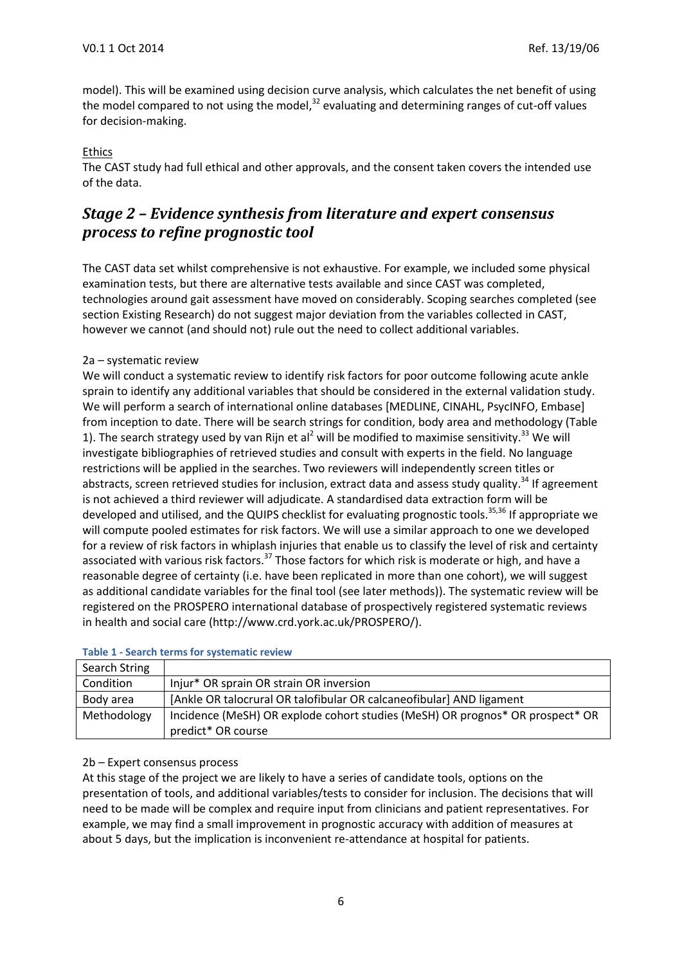model). This will be examined using decision curve analysis, which calculates the net benefit of using the model compared to not using the model,<sup>32</sup> evaluating and determining ranges of cut-off values for decision-making.

### **Ethics**

The CAST study had full ethical and other approvals, and the consent taken covers the intended use of the data.

## *Stage 2 – Evidence synthesis from literature and expert consensus process to refine prognostic tool*

The CAST data set whilst comprehensive is not exhaustive. For example, we included some physical examination tests, but there are alternative tests available and since CAST was completed, technologies around gait assessment have moved on considerably. Scoping searches completed (see section Existing Research) do not suggest major deviation from the variables collected in CAST, however we cannot (and should not) rule out the need to collect additional variables.

### 2a – systematic review

We will conduct a systematic review to identify risk factors for poor outcome following acute ankle sprain to identify any additional variables that should be considered in the external validation study. We will perform a search of international online databases [MEDLINE, CINAHL, PsycINFO, Embase] from inception to date. There will be search strings for condition, body area and methodology (Table 1). The search strategy used by van Rijn et al<sup>2</sup> will be modified to maximise sensitivity.<sup>33</sup> We will investigate bibliographies of retrieved studies and consult with experts in the field. No language restrictions will be applied in the searches. Two reviewers will independently screen titles or abstracts, screen retrieved studies for inclusion, extract data and assess study quality.<sup>34</sup> If agreement is not achieved a third reviewer will adjudicate. A standardised data extraction form will be developed and utilised, and the QUIPS checklist for evaluating prognostic tools.<sup>35,36</sup> If appropriate we will compute pooled estimates for risk factors. We will use a similar approach to one we developed for a review of risk factors in whiplash injuries that enable us to classify the level of risk and certainty associated with various risk factors.<sup>37</sup> Those factors for which risk is moderate or high, and have a reasonable degree of certainty (i.e. have been replicated in more than one cohort), we will suggest as additional candidate variables for the final tool (see later methods)). The systematic review will be registered on the PROSPERO international database of prospectively registered systematic reviews in health and social care (http://www.crd.york.ac.uk/PROSPERO/).

| Search String |                                                                               |
|---------------|-------------------------------------------------------------------------------|
| Condition     | Injur* OR sprain OR strain OR inversion                                       |
| Body area     | [Ankle OR talocrural OR talofibular OR calcaneofibular] AND ligament          |
| Methodology   | Incidence (MeSH) OR explode cohort studies (MeSH) OR prognos* OR prospect* OR |
|               | predict* OR course                                                            |

### **Table 1 - Search terms for systematic review**

### 2b – Expert consensus process

At this stage of the project we are likely to have a series of candidate tools, options on the presentation of tools, and additional variables/tests to consider for inclusion. The decisions that will need to be made will be complex and require input from clinicians and patient representatives. For example, we may find a small improvement in prognostic accuracy with addition of measures at about 5 days, but the implication is inconvenient re-attendance at hospital for patients.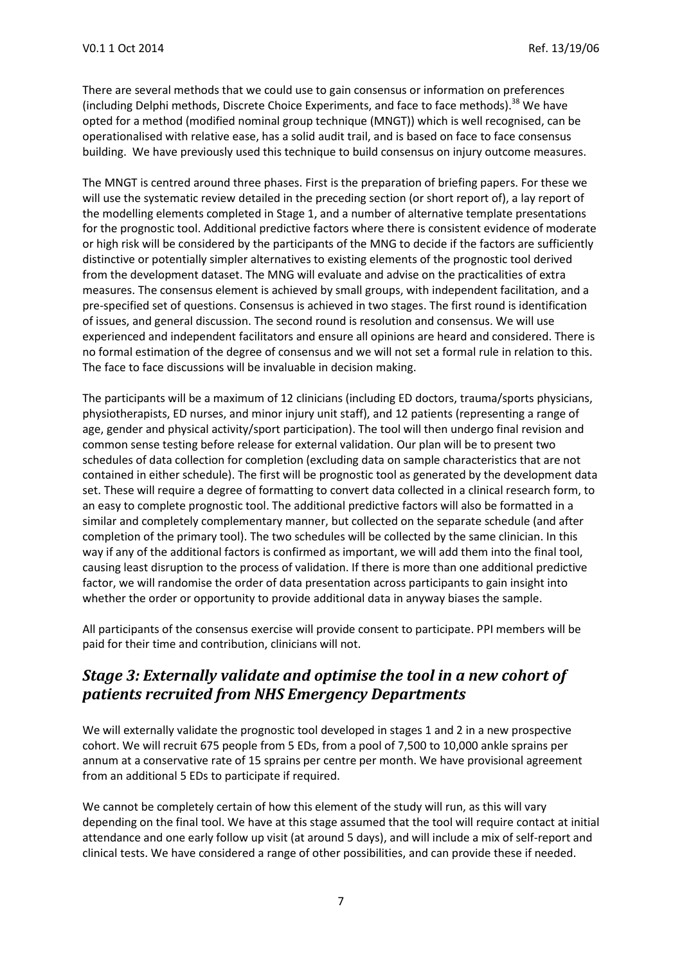There are several methods that we could use to gain consensus or information on preferences (including Delphi methods, Discrete Choice Experiments, and face to face methods).<sup>38</sup> We have opted for a method (modified nominal group technique (MNGT)) which is well recognised, can be operationalised with relative ease, has a solid audit trail, and is based on face to face consensus building. We have previously used this technique to build consensus on injury outcome measures.

The MNGT is centred around three phases. First is the preparation of briefing papers. For these we will use the systematic review detailed in the preceding section (or short report of), a lay report of the modelling elements completed in Stage 1, and a number of alternative template presentations for the prognostic tool. Additional predictive factors where there is consistent evidence of moderate or high risk will be considered by the participants of the MNG to decide if the factors are sufficiently distinctive or potentially simpler alternatives to existing elements of the prognostic tool derived from the development dataset. The MNG will evaluate and advise on the practicalities of extra measures. The consensus element is achieved by small groups, with independent facilitation, and a pre-specified set of questions. Consensus is achieved in two stages. The first round is identification of issues, and general discussion. The second round is resolution and consensus. We will use experienced and independent facilitators and ensure all opinions are heard and considered. There is no formal estimation of the degree of consensus and we will not set a formal rule in relation to this. The face to face discussions will be invaluable in decision making.

The participants will be a maximum of 12 clinicians (including ED doctors, trauma/sports physicians, physiotherapists, ED nurses, and minor injury unit staff), and 12 patients (representing a range of age, gender and physical activity/sport participation). The tool will then undergo final revision and common sense testing before release for external validation. Our plan will be to present two schedules of data collection for completion (excluding data on sample characteristics that are not contained in either schedule). The first will be prognostic tool as generated by the development data set. These will require a degree of formatting to convert data collected in a clinical research form, to an easy to complete prognostic tool. The additional predictive factors will also be formatted in a similar and completely complementary manner, but collected on the separate schedule (and after completion of the primary tool). The two schedules will be collected by the same clinician. In this way if any of the additional factors is confirmed as important, we will add them into the final tool, causing least disruption to the process of validation. If there is more than one additional predictive factor, we will randomise the order of data presentation across participants to gain insight into whether the order or opportunity to provide additional data in anyway biases the sample.

All participants of the consensus exercise will provide consent to participate. PPI members will be paid for their time and contribution, clinicians will not.

### *Stage 3: Externally validate and optimise the tool in a new cohort of patients recruited from NHS Emergency Departments*

We will externally validate the prognostic tool developed in stages 1 and 2 in a new prospective cohort. We will recruit 675 people from 5 EDs, from a pool of 7,500 to 10,000 ankle sprains per annum at a conservative rate of 15 sprains per centre per month. We have provisional agreement from an additional 5 EDs to participate if required.

We cannot be completely certain of how this element of the study will run, as this will vary depending on the final tool. We have at this stage assumed that the tool will require contact at initial attendance and one early follow up visit (at around 5 days), and will include a mix of self-report and clinical tests. We have considered a range of other possibilities, and can provide these if needed.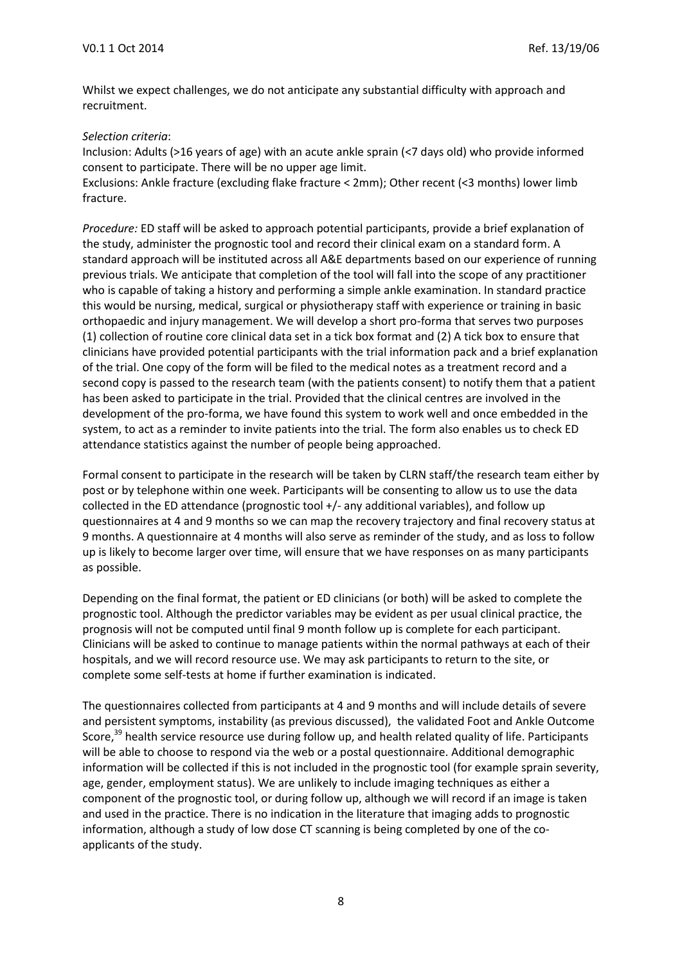Whilst we expect challenges, we do not anticipate any substantial difficulty with approach and recruitment.

#### *Selection criteria*:

Inclusion: Adults (>16 years of age) with an acute ankle sprain (<7 days old) who provide informed consent to participate. There will be no upper age limit.

Exclusions: Ankle fracture (excluding flake fracture < 2mm); Other recent (<3 months) lower limb fracture.

*Procedure:* ED staff will be asked to approach potential participants, provide a brief explanation of the study, administer the prognostic tool and record their clinical exam on a standard form. A standard approach will be instituted across all A&E departments based on our experience of running previous trials. We anticipate that completion of the tool will fall into the scope of any practitioner who is capable of taking a history and performing a simple ankle examination. In standard practice this would be nursing, medical, surgical or physiotherapy staff with experience or training in basic orthopaedic and injury management. We will develop a short pro-forma that serves two purposes (1) collection of routine core clinical data set in a tick box format and (2) A tick box to ensure that clinicians have provided potential participants with the trial information pack and a brief explanation of the trial. One copy of the form will be filed to the medical notes as a treatment record and a second copy is passed to the research team (with the patients consent) to notify them that a patient has been asked to participate in the trial. Provided that the clinical centres are involved in the development of the pro-forma, we have found this system to work well and once embedded in the system, to act as a reminder to invite patients into the trial. The form also enables us to check ED attendance statistics against the number of people being approached.

Formal consent to participate in the research will be taken by CLRN staff/the research team either by post or by telephone within one week. Participants will be consenting to allow us to use the data collected in the ED attendance (prognostic tool +/- any additional variables), and follow up questionnaires at 4 and 9 months so we can map the recovery trajectory and final recovery status at 9 months. A questionnaire at 4 months will also serve as reminder of the study, and as loss to follow up is likely to become larger over time, will ensure that we have responses on as many participants as possible.

Depending on the final format, the patient or ED clinicians (or both) will be asked to complete the prognostic tool. Although the predictor variables may be evident as per usual clinical practice, the prognosis will not be computed until final 9 month follow up is complete for each participant. Clinicians will be asked to continue to manage patients within the normal pathways at each of their hospitals, and we will record resource use. We may ask participants to return to the site, or complete some self-tests at home if further examination is indicated.

The questionnaires collected from participants at 4 and 9 months and will include details of severe and persistent symptoms, instability (as previous discussed), the validated Foot and Ankle Outcome Score,<sup>39</sup> health service resource use during follow up, and health related quality of life. Participants will be able to choose to respond via the web or a postal questionnaire. Additional demographic information will be collected if this is not included in the prognostic tool (for example sprain severity, age, gender, employment status). We are unlikely to include imaging techniques as either a component of the prognostic tool, or during follow up, although we will record if an image is taken and used in the practice. There is no indication in the literature that imaging adds to prognostic information, although a study of low dose CT scanning is being completed by one of the coapplicants of the study.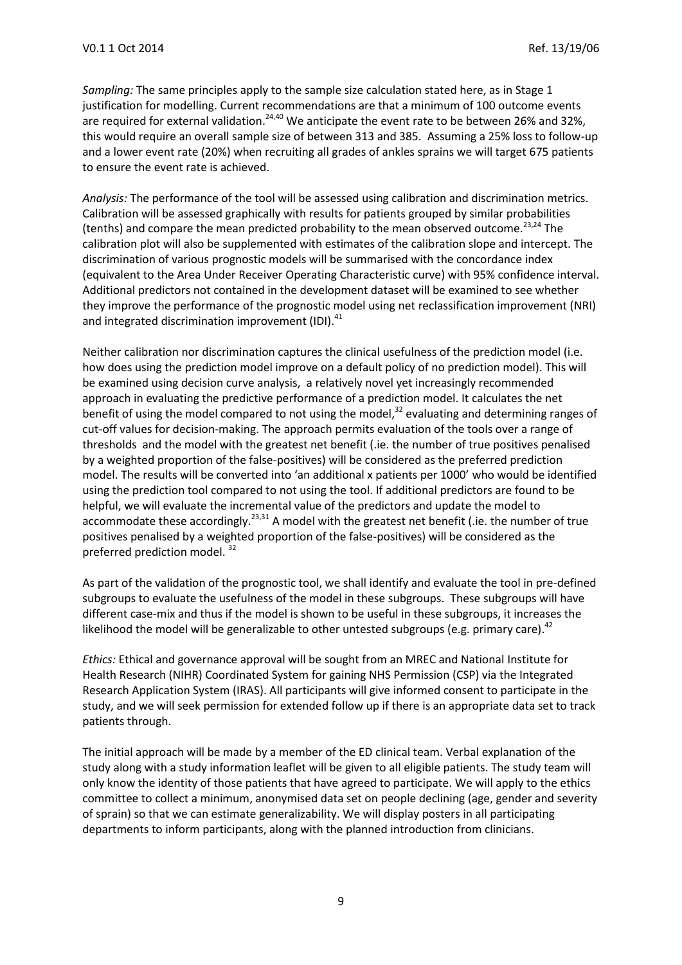*Sampling:* The same principles apply to the sample size calculation stated here, as in Stage 1 justification for modelling. Current recommendations are that a minimum of 100 outcome events are required for external validation.<sup>24,40</sup> We anticipate the event rate to be between 26% and 32%, this would require an overall sample size of between 313 and 385. Assuming a 25% loss to follow-up and a lower event rate (20%) when recruiting all grades of ankles sprains we will target 675 patients to ensure the event rate is achieved.

*Analysis:* The performance of the tool will be assessed using calibration and discrimination metrics. Calibration will be assessed graphically with results for patients grouped by similar probabilities (tenths) and compare the mean predicted probability to the mean observed outcome.<sup>23,24</sup> The calibration plot will also be supplemented with estimates of the calibration slope and intercept. The discrimination of various prognostic models will be summarised with the concordance index (equivalent to the Area Under Receiver Operating Characteristic curve) with 95% confidence interval. Additional predictors not contained in the development dataset will be examined to see whether they improve the performance of the prognostic model using net reclassification improvement (NRI) and integrated discrimination improvement (IDI).<sup>41</sup>

Neither calibration nor discrimination captures the clinical usefulness of the prediction model (i.e. how does using the prediction model improve on a default policy of no prediction model). This will be examined using decision curve analysis, a relatively novel yet increasingly recommended approach in evaluating the predictive performance of a prediction model. It calculates the net benefit of using the model compared to not using the model,<sup>32</sup> evaluating and determining ranges of cut-off values for decision-making. The approach permits evaluation of the tools over a range of thresholds and the model with the greatest net benefit (.ie. the number of true positives penalised by a weighted proportion of the false-positives) will be considered as the preferred prediction model. The results will be converted into 'an additional x patients per 1000' who would be identified using the prediction tool compared to not using the tool. If additional predictors are found to be helpful, we will evaluate the incremental value of the predictors and update the model to accommodate these accordingly.<sup>23,31</sup> A model with the greatest net benefit (.ie. the number of true positives penalised by a weighted proportion of the false-positives) will be considered as the preferred prediction model.<sup>32</sup>

As part of the validation of the prognostic tool, we shall identify and evaluate the tool in pre-defined subgroups to evaluate the usefulness of the model in these subgroups. These subgroups will have different case-mix and thus if the model is shown to be useful in these subgroups, it increases the likelihood the model will be generalizable to other untested subgroups (e.g. primary care).<sup>42</sup>

*Ethics:* Ethical and governance approval will be sought from an MREC and National Institute for Health Research (NIHR) Coordinated System for gaining NHS Permission (CSP) via the Integrated Research Application System (IRAS). All participants will give informed consent to participate in the study, and we will seek permission for extended follow up if there is an appropriate data set to track patients through.

The initial approach will be made by a member of the ED clinical team. Verbal explanation of the study along with a study information leaflet will be given to all eligible patients. The study team will only know the identity of those patients that have agreed to participate. We will apply to the ethics committee to collect a minimum, anonymised data set on people declining (age, gender and severity of sprain) so that we can estimate generalizability. We will display posters in all participating departments to inform participants, along with the planned introduction from clinicians.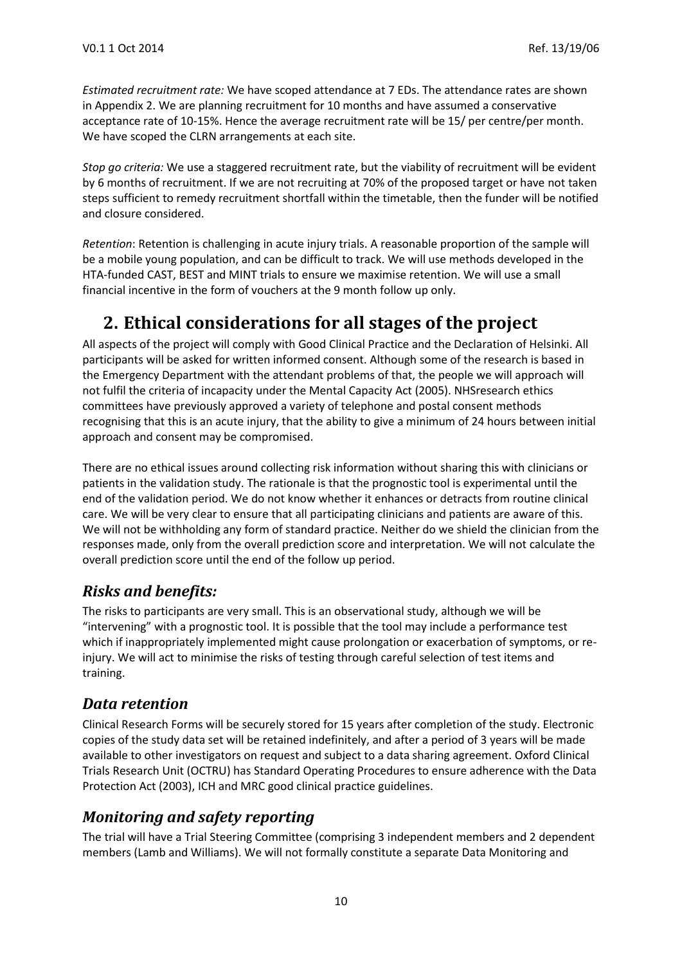*Estimated recruitment rate:* We have scoped attendance at 7 EDs. The attendance rates are shown in Appendix 2. We are planning recruitment for 10 months and have assumed a conservative acceptance rate of 10-15%. Hence the average recruitment rate will be 15/ per centre/per month. We have scoped the CLRN arrangements at each site.

*Stop go criteria:* We use a staggered recruitment rate, but the viability of recruitment will be evident by 6 months of recruitment. If we are not recruiting at 70% of the proposed target or have not taken steps sufficient to remedy recruitment shortfall within the timetable, then the funder will be notified and closure considered.

*Retention*: Retention is challenging in acute injury trials. A reasonable proportion of the sample will be a mobile young population, and can be difficult to track. We will use methods developed in the HTA-funded CAST, BEST and MINT trials to ensure we maximise retention. We will use a small financial incentive in the form of vouchers at the 9 month follow up only.

# **2. Ethical considerations for all stages of the project**

All aspects of the project will comply with Good Clinical Practice and the Declaration of Helsinki. All participants will be asked for written informed consent. Although some of the research is based in the Emergency Department with the attendant problems of that, the people we will approach will not fulfil the criteria of incapacity under the Mental Capacity Act (2005). NHSresearch ethics committees have previously approved a variety of telephone and postal consent methods recognising that this is an acute injury, that the ability to give a minimum of 24 hours between initial approach and consent may be compromised.

There are no ethical issues around collecting risk information without sharing this with clinicians or patients in the validation study. The rationale is that the prognostic tool is experimental until the end of the validation period. We do not know whether it enhances or detracts from routine clinical care. We will be very clear to ensure that all participating clinicians and patients are aware of this. We will not be withholding any form of standard practice. Neither do we shield the clinician from the responses made, only from the overall prediction score and interpretation. We will not calculate the overall prediction score until the end of the follow up period.

## *Risks and benefits:*

The risks to participants are very small. This is an observational study, although we will be "intervening" with a prognostic tool. It is possible that the tool may include a performance test which if inappropriately implemented might cause prolongation or exacerbation of symptoms, or reinjury. We will act to minimise the risks of testing through careful selection of test items and training.

## *Data retention*

Clinical Research Forms will be securely stored for 15 years after completion of the study. Electronic copies of the study data set will be retained indefinitely, and after a period of 3 years will be made available to other investigators on request and subject to a data sharing agreement. Oxford Clinical Trials Research Unit (OCTRU) has Standard Operating Procedures to ensure adherence with the Data Protection Act (2003), ICH and MRC good clinical practice guidelines.

## *Monitoring and safety reporting*

The trial will have a Trial Steering Committee (comprising 3 independent members and 2 dependent members (Lamb and Williams). We will not formally constitute a separate Data Monitoring and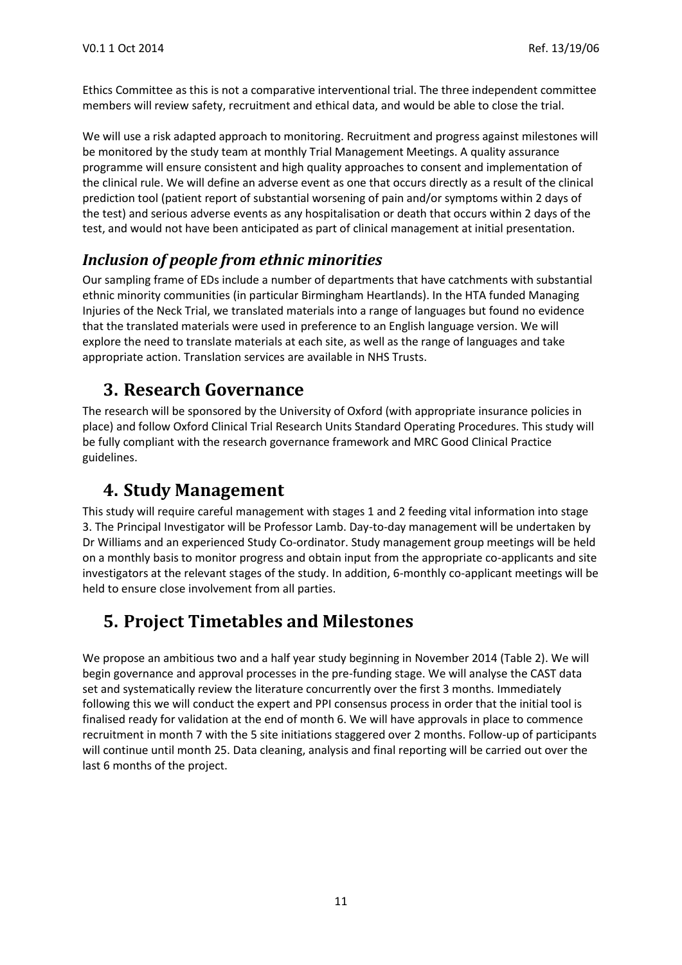Ethics Committee as this is not a comparative interventional trial. The three independent committee members will review safety, recruitment and ethical data, and would be able to close the trial.

We will use a risk adapted approach to monitoring. Recruitment and progress against milestones will be monitored by the study team at monthly Trial Management Meetings. A quality assurance programme will ensure consistent and high quality approaches to consent and implementation of the clinical rule. We will define an adverse event as one that occurs directly as a result of the clinical prediction tool (patient report of substantial worsening of pain and/or symptoms within 2 days of the test) and serious adverse events as any hospitalisation or death that occurs within 2 days of the test, and would not have been anticipated as part of clinical management at initial presentation.

## *Inclusion of people from ethnic minorities*

Our sampling frame of EDs include a number of departments that have catchments with substantial ethnic minority communities (in particular Birmingham Heartlands). In the HTA funded Managing Injuries of the Neck Trial, we translated materials into a range of languages but found no evidence that the translated materials were used in preference to an English language version. We will explore the need to translate materials at each site, as well as the range of languages and take appropriate action. Translation services are available in NHS Trusts.

## **3. Research Governance**

The research will be sponsored by the University of Oxford (with appropriate insurance policies in place) and follow Oxford Clinical Trial Research Units Standard Operating Procedures. This study will be fully compliant with the research governance framework and MRC Good Clinical Practice guidelines.

## **4. Study Management**

This study will require careful management with stages 1 and 2 feeding vital information into stage 3. The Principal Investigator will be Professor Lamb. Day-to-day management will be undertaken by Dr Williams and an experienced Study Co-ordinator. Study management group meetings will be held on a monthly basis to monitor progress and obtain input from the appropriate co-applicants and site investigators at the relevant stages of the study. In addition, 6-monthly co-applicant meetings will be held to ensure close involvement from all parties.

# **5. Project Timetables and Milestones**

We propose an ambitious two and a half year study beginning in November 2014 (Table 2). We will begin governance and approval processes in the pre-funding stage. We will analyse the CAST data set and systematically review the literature concurrently over the first 3 months. Immediately following this we will conduct the expert and PPI consensus process in order that the initial tool is finalised ready for validation at the end of month 6. We will have approvals in place to commence recruitment in month 7 with the 5 site initiations staggered over 2 months. Follow-up of participants will continue until month 25. Data cleaning, analysis and final reporting will be carried out over the last 6 months of the project.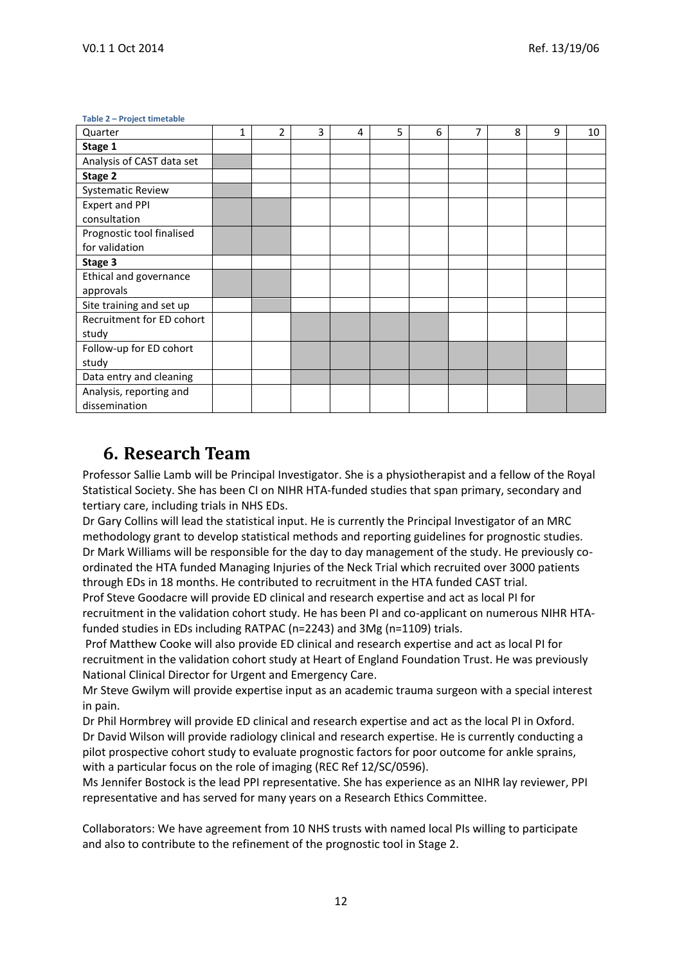#### **Table 2 – Project timetable**

| . . <b>.</b><br>Quarter   | 1 | $\overline{2}$ | 3 | 4 | 5 | 6 | 7 | 8 | 9 | 10 |
|---------------------------|---|----------------|---|---|---|---|---|---|---|----|
| Stage 1                   |   |                |   |   |   |   |   |   |   |    |
| Analysis of CAST data set |   |                |   |   |   |   |   |   |   |    |
| Stage 2                   |   |                |   |   |   |   |   |   |   |    |
| <b>Systematic Review</b>  |   |                |   |   |   |   |   |   |   |    |
| <b>Expert and PPI</b>     |   |                |   |   |   |   |   |   |   |    |
| consultation              |   |                |   |   |   |   |   |   |   |    |
| Prognostic tool finalised |   |                |   |   |   |   |   |   |   |    |
| for validation            |   |                |   |   |   |   |   |   |   |    |
| Stage 3                   |   |                |   |   |   |   |   |   |   |    |
| Ethical and governance    |   |                |   |   |   |   |   |   |   |    |
| approvals                 |   |                |   |   |   |   |   |   |   |    |
| Site training and set up  |   |                |   |   |   |   |   |   |   |    |
| Recruitment for ED cohort |   |                |   |   |   |   |   |   |   |    |
| study                     |   |                |   |   |   |   |   |   |   |    |
| Follow-up for ED cohort   |   |                |   |   |   |   |   |   |   |    |
| study                     |   |                |   |   |   |   |   |   |   |    |
| Data entry and cleaning   |   |                |   |   |   |   |   |   |   |    |
| Analysis, reporting and   |   |                |   |   |   |   |   |   |   |    |
| dissemination             |   |                |   |   |   |   |   |   |   |    |

## **6. Research Team**

Professor Sallie Lamb will be Principal Investigator. She is a physiotherapist and a fellow of the Royal Statistical Society. She has been CI on NIHR HTA-funded studies that span primary, secondary and tertiary care, including trials in NHS EDs.

Dr Gary Collins will lead the statistical input. He is currently the Principal Investigator of an MRC methodology grant to develop statistical methods and reporting guidelines for prognostic studies. Dr Mark Williams will be responsible for the day to day management of the study. He previously coordinated the HTA funded Managing Injuries of the Neck Trial which recruited over 3000 patients through EDs in 18 months. He contributed to recruitment in the HTA funded CAST trial. Prof Steve Goodacre will provide ED clinical and research expertise and act as local PI for

recruitment in the validation cohort study. He has been PI and co-applicant on numerous NIHR HTAfunded studies in EDs including RATPAC (n=2243) and 3Mg (n=1109) trials.

Prof Matthew Cooke will also provide ED clinical and research expertise and act as local PI for recruitment in the validation cohort study at Heart of England Foundation Trust. He was previously National Clinical Director for Urgent and Emergency Care.

Mr Steve Gwilym will provide expertise input as an academic trauma surgeon with a special interest in pain.

Dr Phil Hormbrey will provide ED clinical and research expertise and act as the local PI in Oxford. Dr David Wilson will provide radiology clinical and research expertise. He is currently conducting a pilot prospective cohort study to evaluate prognostic factors for poor outcome for ankle sprains, with a particular focus on the role of imaging (REC Ref 12/SC/0596).

Ms Jennifer Bostock is the lead PPI representative. She has experience as an NIHR lay reviewer, PPI representative and has served for many years on a Research Ethics Committee.

Collaborators: We have agreement from 10 NHS trusts with named local PIs willing to participate and also to contribute to the refinement of the prognostic tool in Stage 2.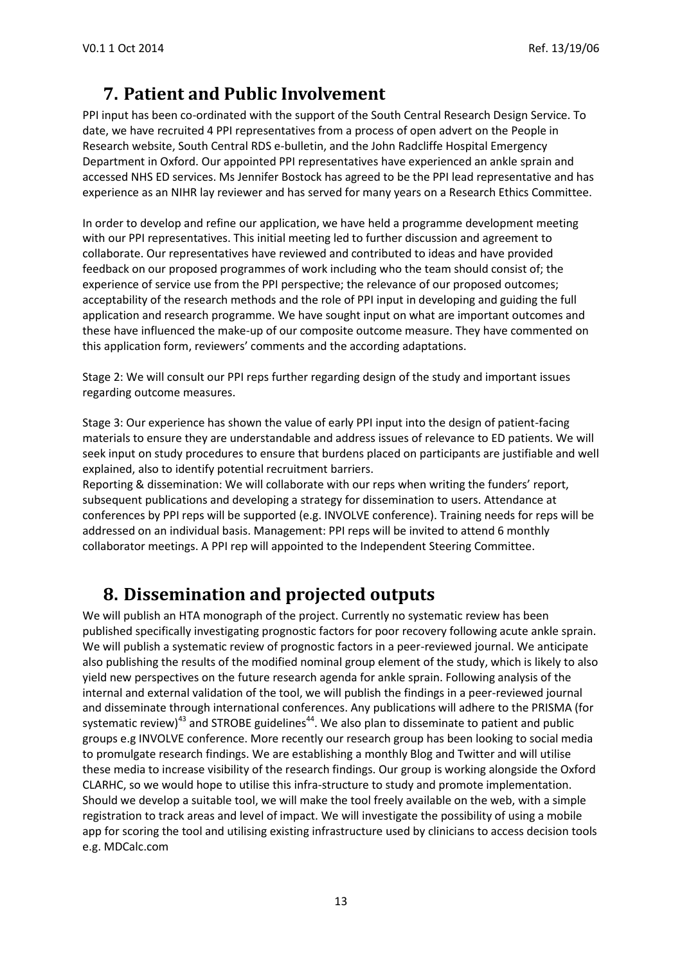# **7. Patient and Public Involvement**

PPI input has been co-ordinated with the support of the South Central Research Design Service. To date, we have recruited 4 PPI representatives from a process of open advert on the People in Research website, South Central RDS e-bulletin, and the John Radcliffe Hospital Emergency Department in Oxford. Our appointed PPI representatives have experienced an ankle sprain and accessed NHS ED services. Ms Jennifer Bostock has agreed to be the PPI lead representative and has experience as an NIHR lay reviewer and has served for many years on a Research Ethics Committee.

In order to develop and refine our application, we have held a programme development meeting with our PPI representatives. This initial meeting led to further discussion and agreement to collaborate. Our representatives have reviewed and contributed to ideas and have provided feedback on our proposed programmes of work including who the team should consist of; the experience of service use from the PPI perspective; the relevance of our proposed outcomes; acceptability of the research methods and the role of PPI input in developing and guiding the full application and research programme. We have sought input on what are important outcomes and these have influenced the make-up of our composite outcome measure. They have commented on this application form, reviewers' comments and the according adaptations.

Stage 2: We will consult our PPI reps further regarding design of the study and important issues regarding outcome measures.

Stage 3: Our experience has shown the value of early PPI input into the design of patient-facing materials to ensure they are understandable and address issues of relevance to ED patients. We will seek input on study procedures to ensure that burdens placed on participants are justifiable and well explained, also to identify potential recruitment barriers.

Reporting & dissemination: We will collaborate with our reps when writing the funders' report, subsequent publications and developing a strategy for dissemination to users. Attendance at conferences by PPI reps will be supported (e.g. INVOLVE conference). Training needs for reps will be addressed on an individual basis. Management: PPI reps will be invited to attend 6 monthly collaborator meetings. A PPI rep will appointed to the Independent Steering Committee.

## **8. Dissemination and projected outputs**

We will publish an HTA monograph of the project. Currently no systematic review has been published specifically investigating prognostic factors for poor recovery following acute ankle sprain. We will publish a systematic review of prognostic factors in a peer-reviewed journal. We anticipate also publishing the results of the modified nominal group element of the study, which is likely to also yield new perspectives on the future research agenda for ankle sprain. Following analysis of the internal and external validation of the tool, we will publish the findings in a peer-reviewed journal and disseminate through international conferences. Any publications will adhere to the PRISMA (for systematic review)<sup>43</sup> and STROBE guidelines<sup>44</sup>. We also plan to disseminate to patient and public groups e.g INVOLVE conference. More recently our research group has been looking to social media to promulgate research findings. We are establishing a monthly Blog and Twitter and will utilise these media to increase visibility of the research findings. Our group is working alongside the Oxford CLARHC, so we would hope to utilise this infra-structure to study and promote implementation. Should we develop a suitable tool, we will make the tool freely available on the web, with a simple registration to track areas and level of impact. We will investigate the possibility of using a mobile app for scoring the tool and utilising existing infrastructure used by clinicians to access decision tools e.g. MDCalc.com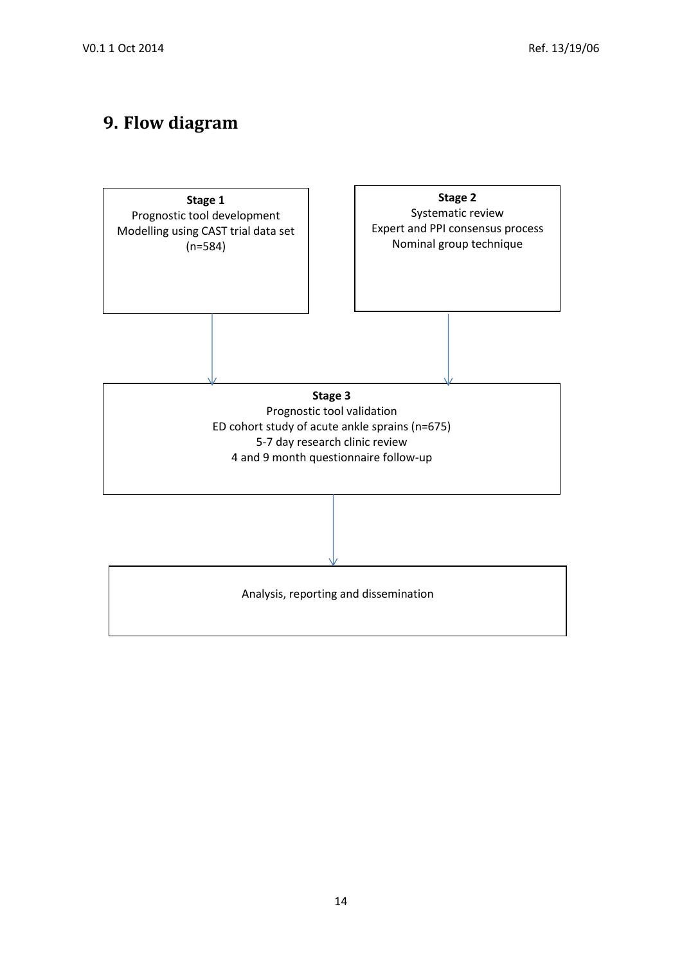# **9. Flow diagram**

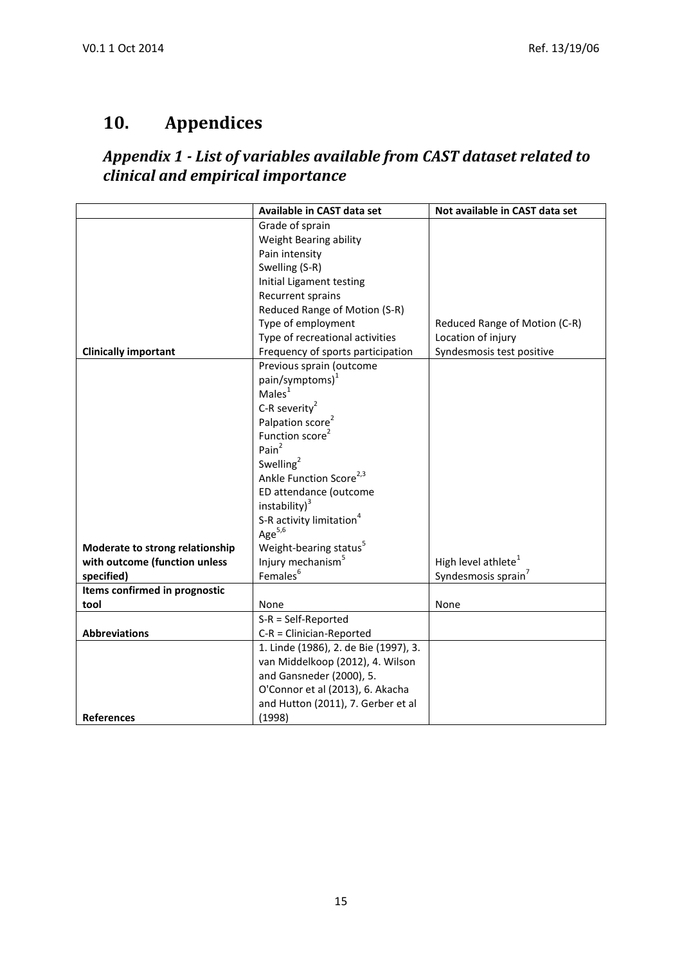# **10. Appendices**

## *Appendix 1 - List of variables available from CAST dataset related to clinical and empirical importance*

|                                 | Available in CAST data set                            | Not available in CAST data set  |  |  |
|---------------------------------|-------------------------------------------------------|---------------------------------|--|--|
|                                 | Grade of sprain                                       |                                 |  |  |
|                                 | Weight Bearing ability                                |                                 |  |  |
|                                 | Pain intensity                                        |                                 |  |  |
|                                 | Swelling (S-R)                                        |                                 |  |  |
|                                 | Initial Ligament testing                              |                                 |  |  |
|                                 | Recurrent sprains                                     |                                 |  |  |
|                                 | Reduced Range of Motion (S-R)                         |                                 |  |  |
|                                 | Type of employment                                    | Reduced Range of Motion (C-R)   |  |  |
|                                 | Type of recreational activities                       | Location of injury              |  |  |
| <b>Clinically important</b>     | Frequency of sports participation                     | Syndesmosis test positive       |  |  |
|                                 | Previous sprain (outcome                              |                                 |  |  |
|                                 | pain/symptoms) <sup>1</sup>                           |                                 |  |  |
|                                 | Males <sup>1</sup>                                    |                                 |  |  |
|                                 | C-R severity <sup>2</sup>                             |                                 |  |  |
|                                 | Palpation score <sup>2</sup>                          |                                 |  |  |
|                                 | Function score <sup>2</sup>                           |                                 |  |  |
|                                 | Pain $^2$                                             |                                 |  |  |
|                                 | Swelling <sup>2</sup>                                 |                                 |  |  |
|                                 | Ankle Function Score <sup>2,3</sup>                   |                                 |  |  |
|                                 | ED attendance (outcome                                |                                 |  |  |
|                                 | instability) <sup>3</sup>                             |                                 |  |  |
|                                 | S-R activity limitation <sup>4</sup>                  |                                 |  |  |
|                                 | Age $5,6$                                             |                                 |  |  |
|                                 |                                                       |                                 |  |  |
| Moderate to strong relationship | Weight-bearing status <sup>5</sup>                    | High level athlete <sup>1</sup> |  |  |
| with outcome (function unless   | Injury mechanism <sup>5</sup><br>Females <sup>6</sup> |                                 |  |  |
| specified)                      |                                                       | Syndesmosis sprain <sup>7</sup> |  |  |
| Items confirmed in prognostic   |                                                       |                                 |  |  |
| tool                            | None                                                  | None                            |  |  |
|                                 | $S-R = Self-Reported$                                 |                                 |  |  |
| <b>Abbreviations</b>            | $C-R = Clinician-Reported$                            |                                 |  |  |
|                                 | 1. Linde (1986), 2. de Bie (1997), 3.                 |                                 |  |  |
|                                 | van Middelkoop (2012), 4. Wilson                      |                                 |  |  |
|                                 | and Gansneder (2000), 5.                              |                                 |  |  |
|                                 | O'Connor et al (2013), 6. Akacha                      |                                 |  |  |
|                                 | and Hutton (2011), 7. Gerber et al                    |                                 |  |  |
| <b>References</b>               | (1998)                                                |                                 |  |  |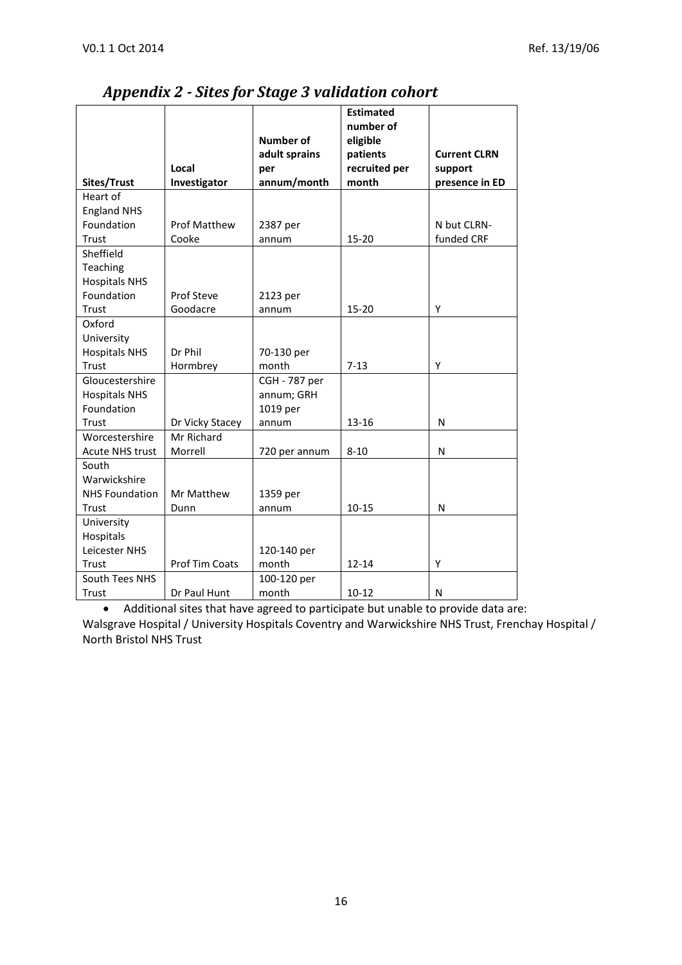|                        |                     | <b>Number of</b> | <b>Estimated</b><br>number of<br>eligible |                     |
|------------------------|---------------------|------------------|-------------------------------------------|---------------------|
|                        |                     | adult sprains    | patients                                  | <b>Current CLRN</b> |
|                        | Local               | per              | recruited per                             | support             |
| Sites/Trust            | Investigator        | annum/month      | month                                     | presence in ED      |
| Heart of               |                     |                  |                                           |                     |
| <b>England NHS</b>     |                     |                  |                                           |                     |
| Foundation             | <b>Prof Matthew</b> | 2387 per         |                                           | N but CLRN-         |
| Trust                  | Cooke               | annum            | 15-20                                     | funded CRF          |
| Sheffield              |                     |                  |                                           |                     |
| Teaching               |                     |                  |                                           |                     |
| <b>Hospitals NHS</b>   |                     |                  |                                           |                     |
| Foundation             | Prof Steve          | 2123 per         |                                           |                     |
| Trust                  | Goodacre            | annum            | 15-20                                     | Y                   |
| Oxford                 |                     |                  |                                           |                     |
| University             |                     |                  |                                           |                     |
| <b>Hospitals NHS</b>   | Dr Phil             | 70-130 per       |                                           |                     |
| Trust                  | Hormbrey            | month            | $7 - 13$                                  | Y                   |
| Gloucestershire        |                     | CGH - 787 per    |                                           |                     |
| <b>Hospitals NHS</b>   |                     | annum; GRH       |                                           |                     |
| Foundation             |                     | 1019 per         |                                           |                     |
| Trust                  | Dr Vicky Stacey     | annum            | $13 - 16$                                 | N                   |
| Worcestershire         | Mr Richard          |                  |                                           |                     |
| <b>Acute NHS trust</b> | Morrell             | 720 per annum    | $8 - 10$                                  | N                   |
| South                  |                     |                  |                                           |                     |
| Warwickshire           |                     |                  |                                           |                     |
| <b>NHS Foundation</b>  | Mr Matthew          | 1359 per         |                                           |                     |
| Trust                  | Dunn                | annum            | $10 - 15$                                 | N                   |
| University             |                     |                  |                                           |                     |
| Hospitals              |                     |                  |                                           |                     |
| Leicester NHS          |                     | 120-140 per      |                                           |                     |
| Trust                  | Prof Tim Coats      | month            | $12 - 14$                                 | Υ                   |
| South Tees NHS         |                     | 100-120 per      |                                           |                     |
| Trust                  | Dr Paul Hunt        | month            | $10 - 12$                                 | N                   |

## *Appendix 2 - Sites for Stage 3 validation cohort*

 Additional sites that have agreed to participate but unable to provide data are: Walsgrave Hospital / University Hospitals Coventry and Warwickshire NHS Trust, Frenchay Hospital / North Bristol NHS Trust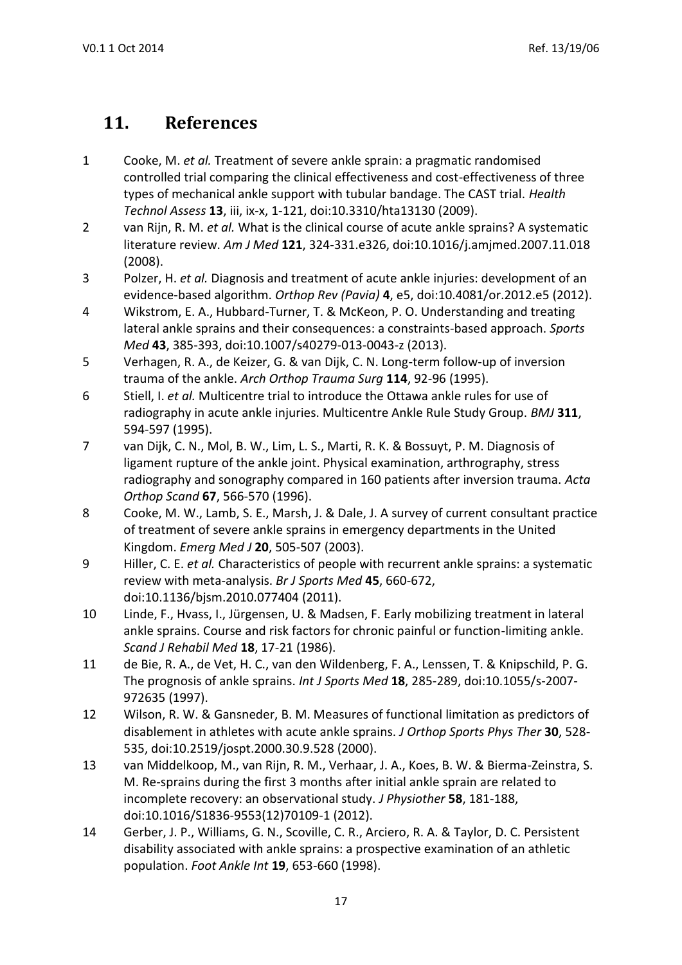# **11. References**

- 1 Cooke, M. *et al.* Treatment of severe ankle sprain: a pragmatic randomised controlled trial comparing the clinical effectiveness and cost-effectiveness of three types of mechanical ankle support with tubular bandage. The CAST trial. *Health Technol Assess* **13**, iii, ix-x, 1-121, doi:10.3310/hta13130 (2009).
- 2 van Rijn, R. M. *et al.* What is the clinical course of acute ankle sprains? A systematic literature review. *Am J Med* **121**, 324-331.e326, doi:10.1016/j.amjmed.2007.11.018 (2008).
- 3 Polzer, H. *et al.* Diagnosis and treatment of acute ankle injuries: development of an evidence-based algorithm. *Orthop Rev (Pavia)* **4**, e5, doi:10.4081/or.2012.e5 (2012).
- 4 Wikstrom, E. A., Hubbard-Turner, T. & McKeon, P. O. Understanding and treating lateral ankle sprains and their consequences: a constraints-based approach. *Sports Med* **43**, 385-393, doi:10.1007/s40279-013-0043-z (2013).
- 5 Verhagen, R. A., de Keizer, G. & van Dijk, C. N. Long-term follow-up of inversion trauma of the ankle. *Arch Orthop Trauma Surg* **114**, 92-96 (1995).
- 6 Stiell, I. *et al.* Multicentre trial to introduce the Ottawa ankle rules for use of radiography in acute ankle injuries. Multicentre Ankle Rule Study Group. *BMJ* **311**, 594-597 (1995).
- 7 van Dijk, C. N., Mol, B. W., Lim, L. S., Marti, R. K. & Bossuyt, P. M. Diagnosis of ligament rupture of the ankle joint. Physical examination, arthrography, stress radiography and sonography compared in 160 patients after inversion trauma. *Acta Orthop Scand* **67**, 566-570 (1996).
- 8 Cooke, M. W., Lamb, S. E., Marsh, J. & Dale, J. A survey of current consultant practice of treatment of severe ankle sprains in emergency departments in the United Kingdom. *Emerg Med J* **20**, 505-507 (2003).
- 9 Hiller, C. E. *et al.* Characteristics of people with recurrent ankle sprains: a systematic review with meta-analysis. *Br J Sports Med* **45**, 660-672, doi:10.1136/bjsm.2010.077404 (2011).
- 10 Linde, F., Hvass, I., Jürgensen, U. & Madsen, F. Early mobilizing treatment in lateral ankle sprains. Course and risk factors for chronic painful or function-limiting ankle. *Scand J Rehabil Med* **18**, 17-21 (1986).
- 11 de Bie, R. A., de Vet, H. C., van den Wildenberg, F. A., Lenssen, T. & Knipschild, P. G. The prognosis of ankle sprains. *Int J Sports Med* **18**, 285-289, doi:10.1055/s-2007- 972635 (1997).
- 12 Wilson, R. W. & Gansneder, B. M. Measures of functional limitation as predictors of disablement in athletes with acute ankle sprains. *J Orthop Sports Phys Ther* **30**, 528- 535, doi:10.2519/jospt.2000.30.9.528 (2000).
- 13 van Middelkoop, M., van Rijn, R. M., Verhaar, J. A., Koes, B. W. & Bierma-Zeinstra, S. M. Re-sprains during the first 3 months after initial ankle sprain are related to incomplete recovery: an observational study. *J Physiother* **58**, 181-188, doi:10.1016/S1836-9553(12)70109-1 (2012).
- 14 Gerber, J. P., Williams, G. N., Scoville, C. R., Arciero, R. A. & Taylor, D. C. Persistent disability associated with ankle sprains: a prospective examination of an athletic population. *Foot Ankle Int* **19**, 653-660 (1998).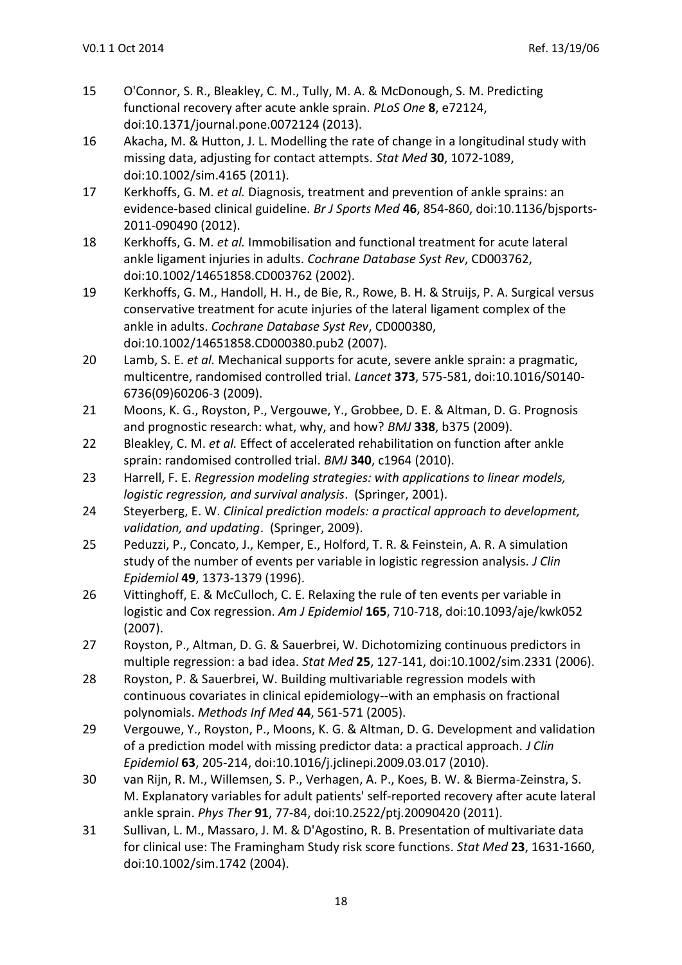- 15 O'Connor, S. R., Bleakley, C. M., Tully, M. A. & McDonough, S. M. Predicting functional recovery after acute ankle sprain. *PLoS One* **8**, e72124, doi:10.1371/journal.pone.0072124 (2013).
- 16 Akacha, M. & Hutton, J. L. Modelling the rate of change in a longitudinal study with missing data, adjusting for contact attempts. *Stat Med* **30**, 1072-1089, doi:10.1002/sim.4165 (2011).
- 17 Kerkhoffs, G. M. *et al.* Diagnosis, treatment and prevention of ankle sprains: an evidence-based clinical guideline. *Br J Sports Med* **46**, 854-860, doi:10.1136/bjsports-2011-090490 (2012).
- 18 Kerkhoffs, G. M. *et al.* Immobilisation and functional treatment for acute lateral ankle ligament injuries in adults. *Cochrane Database Syst Rev*, CD003762, doi:10.1002/14651858.CD003762 (2002).
- 19 Kerkhoffs, G. M., Handoll, H. H., de Bie, R., Rowe, B. H. & Struijs, P. A. Surgical versus conservative treatment for acute injuries of the lateral ligament complex of the ankle in adults. *Cochrane Database Syst Rev*, CD000380, doi:10.1002/14651858.CD000380.pub2 (2007).
- 20 Lamb, S. E. *et al.* Mechanical supports for acute, severe ankle sprain: a pragmatic, multicentre, randomised controlled trial. *Lancet* **373**, 575-581, doi:10.1016/S0140- 6736(09)60206-3 (2009).
- 21 Moons, K. G., Royston, P., Vergouwe, Y., Grobbee, D. E. & Altman, D. G. Prognosis and prognostic research: what, why, and how? *BMJ* **338**, b375 (2009).
- 22 Bleakley, C. M. *et al.* Effect of accelerated rehabilitation on function after ankle sprain: randomised controlled trial. *BMJ* **340**, c1964 (2010).
- 23 Harrell, F. E. *Regression modeling strategies: with applications to linear models, logistic regression, and survival analysis*. (Springer, 2001).
- 24 Steyerberg, E. W. *Clinical prediction models: a practical approach to development, validation, and updating*. (Springer, 2009).
- 25 Peduzzi, P., Concato, J., Kemper, E., Holford, T. R. & Feinstein, A. R. A simulation study of the number of events per variable in logistic regression analysis. *J Clin Epidemiol* **49**, 1373-1379 (1996).
- 26 Vittinghoff, E. & McCulloch, C. E. Relaxing the rule of ten events per variable in logistic and Cox regression. *Am J Epidemiol* **165**, 710-718, doi:10.1093/aje/kwk052 (2007).
- 27 Royston, P., Altman, D. G. & Sauerbrei, W. Dichotomizing continuous predictors in multiple regression: a bad idea. *Stat Med* **25**, 127-141, doi:10.1002/sim.2331 (2006).
- 28 Royston, P. & Sauerbrei, W. Building multivariable regression models with continuous covariates in clinical epidemiology--with an emphasis on fractional polynomials. *Methods Inf Med* **44**, 561-571 (2005).
- 29 Vergouwe, Y., Royston, P., Moons, K. G. & Altman, D. G. Development and validation of a prediction model with missing predictor data: a practical approach. *J Clin Epidemiol* **63**, 205-214, doi:10.1016/j.jclinepi.2009.03.017 (2010).
- 30 van Rijn, R. M., Willemsen, S. P., Verhagen, A. P., Koes, B. W. & Bierma-Zeinstra, S. M. Explanatory variables for adult patients' self-reported recovery after acute lateral ankle sprain. *Phys Ther* **91**, 77-84, doi:10.2522/ptj.20090420 (2011).
- 31 Sullivan, L. M., Massaro, J. M. & D'Agostino, R. B. Presentation of multivariate data for clinical use: The Framingham Study risk score functions. *Stat Med* **23**, 1631-1660, doi:10.1002/sim.1742 (2004).